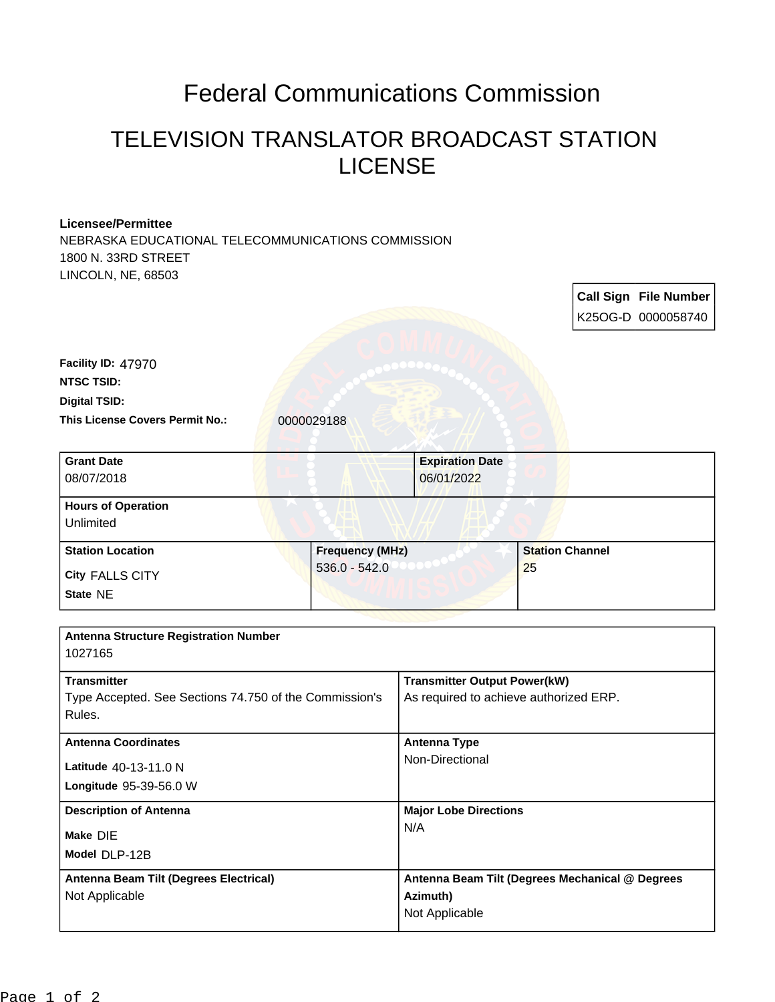## Federal Communications Commission

## TELEVISION TRANSLATOR BROADCAST STATION LICENSE

## **Licensee/Permittee**

NEBRASKA EDUCATIONAL TELECOMMUNICATIONS COMMISSION 1800 N. 33RD STREET LINCOLN, NE, 68503

|                                                         |                                           |                                                 |                        |  | <b>Call Sign File Number</b><br>K25OG-D 0000058740 |
|---------------------------------------------------------|-------------------------------------------|-------------------------------------------------|------------------------|--|----------------------------------------------------|
|                                                         |                                           |                                                 |                        |  |                                                    |
| <b>Facility ID: 47970</b>                               |                                           |                                                 |                        |  |                                                    |
| <b>NTSC TSID:</b>                                       |                                           |                                                 |                        |  |                                                    |
| <b>Digital TSID:</b>                                    |                                           |                                                 |                        |  |                                                    |
| This License Covers Permit No.:                         | 0000029188                                |                                                 |                        |  |                                                    |
| <b>Grant Date</b>                                       |                                           | <b>Expiration Date</b>                          |                        |  |                                                    |
| 08/07/2018                                              |                                           | 06/01/2022                                      |                        |  |                                                    |
| <b>Hours of Operation</b>                               |                                           |                                                 |                        |  |                                                    |
| Unlimited                                               |                                           |                                                 |                        |  |                                                    |
| <b>Station Location</b>                                 | <b>Frequency (MHz)</b><br>$536.0 - 542.0$ |                                                 | <b>Station Channel</b> |  |                                                    |
| <b>City FALLS CITY</b>                                  |                                           |                                                 | 25                     |  |                                                    |
| State NE                                                |                                           |                                                 |                        |  |                                                    |
|                                                         |                                           |                                                 |                        |  |                                                    |
| <b>Antenna Structure Registration Number</b><br>1027165 |                                           |                                                 |                        |  |                                                    |
| <b>Transmitter</b>                                      |                                           | <b>Transmitter Output Power(kW)</b>             |                        |  |                                                    |
| Type Accepted. See Sections 74.750 of the Commission's  |                                           | As required to achieve authorized ERP.          |                        |  |                                                    |
| Rules.                                                  |                                           |                                                 |                        |  |                                                    |
| <b>Antenna Coordinates</b>                              |                                           | <b>Antenna Type</b>                             |                        |  |                                                    |
| Latitude 40-13-11.0 N                                   |                                           | Non-Directional                                 |                        |  |                                                    |
| Longitude 95-39-56.0 W                                  |                                           |                                                 |                        |  |                                                    |
| <b>Description of Antenna</b>                           |                                           | <b>Major Lobe Directions</b>                    |                        |  |                                                    |
| Make DIE                                                |                                           | N/A                                             |                        |  |                                                    |
| Model DLP-12B                                           |                                           |                                                 |                        |  |                                                    |
| Antenna Beam Tilt (Degrees Electrical)                  |                                           | Antenna Beam Tilt (Degrees Mechanical @ Degrees |                        |  |                                                    |
| Not Applicable                                          |                                           | Azimuth)                                        |                        |  |                                                    |
|                                                         |                                           | Not Applicable                                  |                        |  |                                                    |